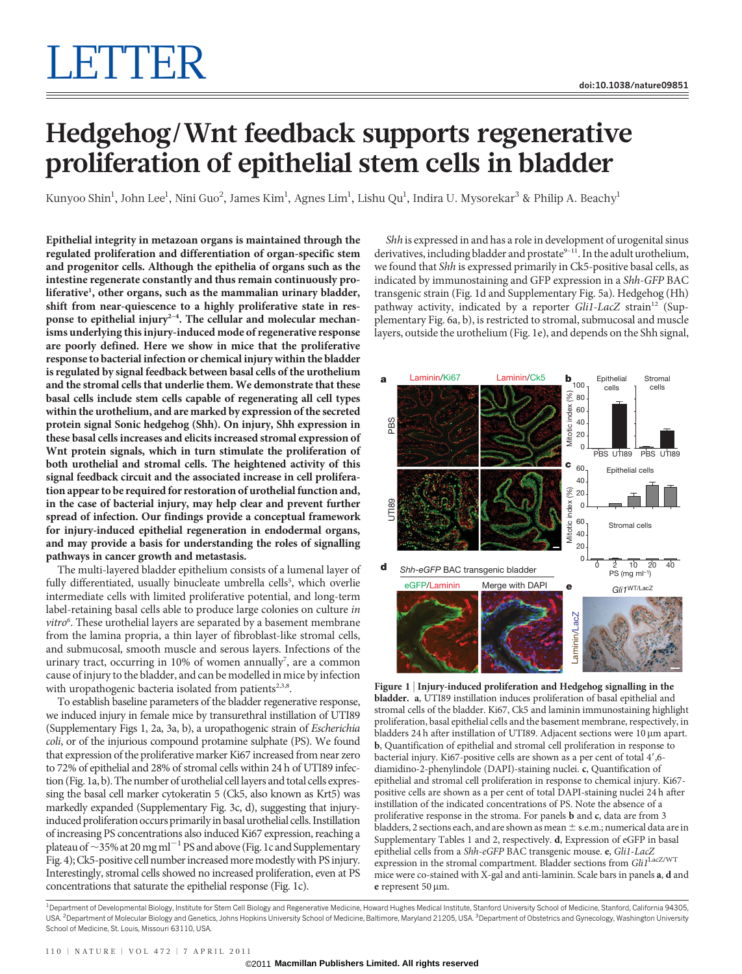# Hedgehog/Wnt feedback supports regenerative proliferation of epithelial stem cells in bladder

Kunyoo Shin $^1$ , John Lee $^1$ , Nini Guo $^2$ , James Kim $^1$ , Agnes Lim $^1$ , Lishu Qu $^1$ , Indira U. Mysorekar $^3$  & Philip A. Beachy $^1$ 

Epithelial integrity in metazoan organs is maintained through the regulated proliferation and differentiation of organ-specific stem and progenitor cells. Although the epithelia of organs such as the intestine regenerate constantly and thus remain continuously proliferative<sup>1</sup>, other organs, such as the mammalian urinary bladder, shift from near-quiescence to a highly proliferative state in response to epithelial injury<sup>2-4</sup>. The cellular and molecular mechanisms underlying this injury-induced mode of regenerative response are poorly defined. Here we show in mice that the proliferative response to bacterial infection or chemical injury within the bladder is regulated by signal feedback between basal cells of the urothelium and the stromal cells that underlie them. We demonstrate that these basal cells include stem cells capable of regenerating all cell types within the urothelium, and are marked by expression of the secreted protein signal Sonic hedgehog (Shh). On injury, Shh expression in these basal cells increases and elicits increased stromal expression of Wnt protein signals, which in turn stimulate the proliferation of both urothelial and stromal cells. The heightened activity of this signal feedback circuit and the associated increase in cell proliferation appear to be required for restoration of urothelial function and, in the case of bacterial injury, may help clear and prevent further spread of infection. Our findings provide a conceptual framework for injury-induced epithelial regeneration in endodermal organs, and may provide a basis for understanding the roles of signalling pathways in cancer growth and metastasis.

The multi-layered bladder epithelium consists of a lumenal layer of fully differentiated, usually binucleate umbrella cells<sup>5</sup>, which overlie intermediate cells with limited proliferative potential, and long-term label-retaining basal cells able to produce large colonies on culture in vitro<sup>6</sup>. These urothelial layers are separated by a basement membrane from the lamina propria, a thin layer of fibroblast-like stromal cells, and submucosal, smooth muscle and serous layers. Infections of the urinary tract, occurring in 10% of women annually<sup>7</sup>, are a common cause of injury to the bladder, and can be modelled in mice by infection with uropathogenic bacteria isolated from patients $2,3,8$ .

To establish baseline parameters of the bladder regenerative response, we induced injury in female mice by transurethral instillation of UTI89 (Supplementary Figs 1, 2a, 3a, b), a uropathogenic strain of Escherichia coli, or of the injurious compound protamine sulphate (PS). We found that expression of the proliferative marker Ki67 increased from near zero to 72% of epithelial and 28% of stromal cells within 24 h of UTI89 infection (Fig. 1a, b). The number of urothelial cell layers and total cells expressing the basal cell marker cytokeratin 5 (Ck5, also known as Krt5) was markedly expanded (Supplementary Fig. 3c, d), suggesting that injuryinduced proliferation occurs primarily in basal urothelial cells. Instillation of increasing PS concentrations also induced Ki67 expression, reaching a plateau of  $\sim$ 35% at 20 mg ml<sup>-1</sup> PS and above (Fig. 1c and Supplementary Fig. 4); Ck5-positive cell number increasedmoremodestlywith PS injury. Interestingly, stromal cells showed no increased proliferation, even at PS concentrations that saturate the epithelial response (Fig. 1c).

Shh is expressed in and has a role in development of urogenital sinus derivatives, including bladder and prostate<sup>9-11</sup>. In the adult urothelium, we found that Shh is expressed primarily in Ck5-positive basal cells, as indicated by immunostaining and GFP expression in a Shh-GFP BAC transgenic strain (Fig. 1d and Supplementary Fig. 5a). Hedgehog (Hh) pathway activity, indicated by a reporter Gli1-LacZ strain<sup>12</sup> (Supplementary Fig. 6a, b), is restricted to stromal, submucosal and muscle layers, outside the urothelium (Fig. 1e), and depends on the Shh signal,



Figure 1 <sup>|</sup> Injury-induced proliferation and Hedgehog signalling in the bladder. a, UTI89 instillation induces proliferation of basal epithelial and stromal cells of the bladder. Ki67, Ck5 and laminin immunostaining highlight proliferation, basal epithelial cells and the basement membrane, respectively, in bladders 24 h after instillation of UTI89. Adjacent sections were  $10 \mu m$  apart. b, Quantification of epithelial and stromal cell proliferation in response to bacterial injury. Ki67-positive cells are shown as a per cent of total 4',6diamidino-2-phenylindole (DAPI)-staining nuclei. c, Quantification of epithelial and stromal cell proliferation in response to chemical injury. Ki67 positive cells are shown as a per cent of total DAPI-staining nuclei 24 h after instillation of the indicated concentrations of PS. Note the absence of a proliferative response in the stroma. For panels b and c, data are from 3 bladders, 2 sections each, and are shown as mean  $\pm$  s.e.m.; numerical data are in Supplementary Tables 1 and 2, respectively. d, Expression of eGFP in basal epithelial cells from a Shh-eGFP BAC transgenic mouse. e, Gli1-LacZ expression in the stromal compartment. Bladder sections from Gli1<sup>LacZ/WT</sup> mice were co-stained with X-gal and anti-laminin. Scale bars in panels a, d and e represent 50  $\mu$ m.

<sup>1</sup> Department of Developmental Biology, Institute for Stem Cell Biology and Regenerative Medicine, Howard Hughes Medical Institute, Stanford University School of Medicine, Stanford, California 94305 USA. <sup>2</sup>Department of Molecular Biology and Genetics, Johns Hopkins University School of Medicine, Baltimore, Maryland 21205, USA. <sup>3</sup>Department of Obstetrics and Gynecology, Washington University School of Medicine, St. Louis, Missouri 63110, USA.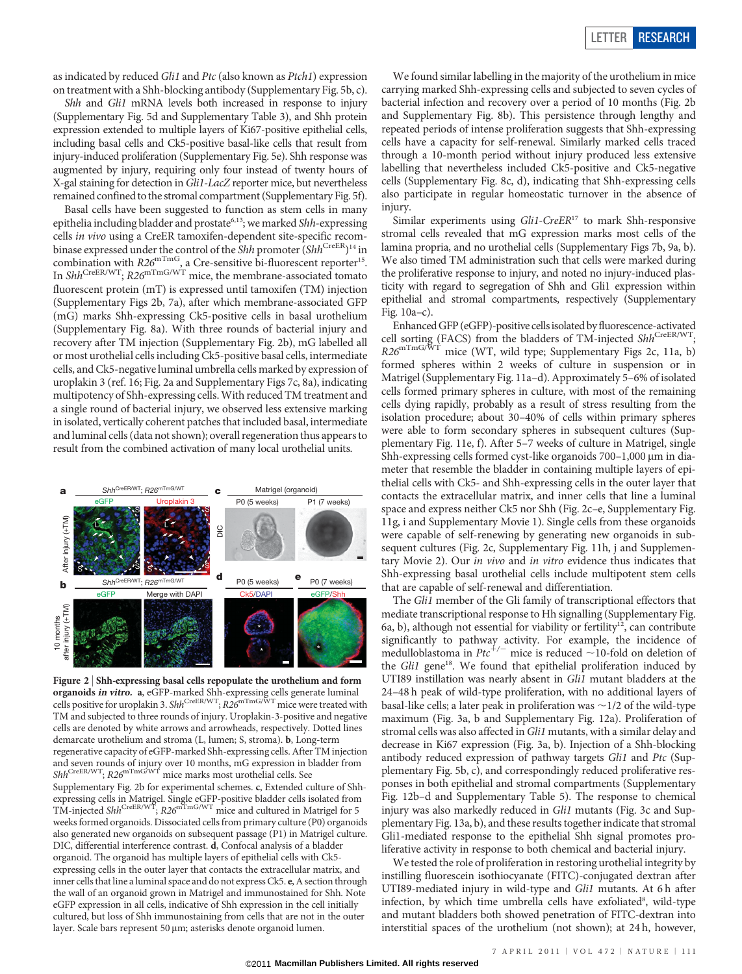as indicated by reduced Gli1 and Ptc (also known as Ptch1) expression on treatment with a Shh-blocking antibody (Supplementary Fig. 5b, c).

Shh and Gli1 mRNA levels both increased in response to injury (Supplementary Fig. 5d and Supplementary Table 3), and Shh protein expression extended to multiple layers of Ki67-positive epithelial cells, including basal cells and Ck5-positive basal-like cells that result from injury-induced proliferation (Supplementary Fig. 5e). Shh response was augmented by injury, requiring only four instead of twenty hours of X-gal staining for detection in Gli1-LacZ reporter mice, but nevertheless remained confined to the stromal compartment (Supplementary Fig. 5f).

Basal cells have been suggested to function as stem cells in many epithelia including bladder and prostate<sup>6,13</sup>; we marked Shh-expressing cells in vivo using a CreER tamoxifen-dependent site-specific recombinase expressed under the control of the Shh promoter (Shh<sup>CreER</sup>)<sup>14</sup> in combination with  $R26^{\text{mTmg}}$ , a Cre-sensitive bi-fluorescent reporter<sup>15</sup>. In  $Shh^{\text{CreER/WT}}$ ;  $R26^{\text{mTmG/WT}}$  mice, the membrane-associated tomato fluorescent protein (mT) is expressed until tamoxifen (TM) injection (Supplementary Figs 2b, 7a), after which membrane-associated GFP (mG) marks Shh-expressing Ck5-positive cells in basal urothelium (Supplementary Fig. 8a). With three rounds of bacterial injury and recovery after TM injection (Supplementary Fig. 2b), mG labelled all or most urothelial cells including Ck5-positive basal cells, intermediate cells, and Ck5-negative luminal umbrella cells marked by expression of uroplakin 3 (ref. 16; Fig. 2a and Supplementary Figs 7c, 8a), indicating multipotency of Shh-expressing cells.With reduced TM treatment and a single round of bacterial injury, we observed less extensive marking in isolated, vertically coherent patches that included basal, intermediate and luminal cells (data not shown); overall regeneration thus appears to result from the combined activation of many local urothelial units.



Figure 2 <sup>|</sup> Shh-expressing basal cells repopulate the urothelium and form **organoids** *in vitro***. a**, eGFP-marked Shh-expressing cells generate luminal<br>cells positive for uroplakin 3. Shh<sup>CreER/WT</sup>; R26<sup>mTmG/WT</sup> mice were treated with TM and subjected to three rounds of injury. Uroplakin-3-positive and negative cells are denoted by white arrows and arrowheads, respectively. Dotted lines demarcate urothelium and stroma (L, lumen; S, stroma). b, Long-term regenerative capacity of eGFP-marked Shh-expressing cells. After TM injection and seven rounds of injury over 10 months, mG expression in bladder from  $\mathit{Shh}^{\text{CreER/WT}}, \mathit{R26}^{\text{mTmG/WT}}$  mice marks most urothelial cells. See Supplementary Fig. 2b for experimental schemes. c, Extended culture of Shhexpressing cells in Matrigel. Single eGFP-positive bladder cells isolated from<br>TM-injected Shh<sup>CreER/WT</sup>; R26<sup>mTmG/WT</sup> mice and cultured in Matrigel for 5 weeks formed organoids. Dissociated cells from primary culture (P0) organoids also generated new organoids on subsequent passage (P1) in Matrigel culture. DIC, differential interference contrast. d, Confocal analysis of a bladder organoid. The organoid has multiple layers of epithelial cells with Ck5 expressing cells in the outer layer that contacts the extracellular matrix, and inner cells that line a luminal space and do not express Ck5. e, A section through the wall of an organoid grown in Matrigel and immunostained for Shh. Note eGFP expression in all cells, indicative of Shh expression in the cell initially cultured, but loss of Shh immunostaining from cells that are not in the outer layer. Scale bars represent 50 µm; asterisks denote organoid lumen.

We found similar labelling in the majority of the urothelium in mice carrying marked Shh-expressing cells and subjected to seven cycles of bacterial infection and recovery over a period of 10 months (Fig. 2b and Supplementary Fig. 8b). This persistence through lengthy and repeated periods of intense proliferation suggests that Shh-expressing cells have a capacity for self-renewal. Similarly marked cells traced through a 10-month period without injury produced less extensive labelling that nevertheless included Ck5-positive and Ck5-negative cells (Supplementary Fig. 8c, d), indicating that Shh-expressing cells also participate in regular homeostatic turnover in the absence of injury.

Similar experiments using Gli1-CreER<sup>17</sup> to mark Shh-responsive stromal cells revealed that mG expression marks most cells of the lamina propria, and no urothelial cells (Supplementary Figs 7b, 9a, b). We also timed TM administration such that cells were marked during the proliferative response to injury, and noted no injury-induced plasticity with regard to segregation of Shh and Gli1 expression within epithelial and stromal compartments, respectively (Supplementary Fig. 10a–c).

Enhanced GFP (eGFP)-positive cellsisolated byfluorescence-activated cell sorting (FACS) from the bladders of TM-injected ShhCreER/WT;  $R26^{\text{mTmG/WT}}$  mice (WT, wild type; Supplementary Figs 2c, 11a, b) formed spheres within 2 weeks of culture in suspension or in Matrigel (Supplementary Fig. 11a–d). Approximately 5–6% of isolated cells formed primary spheres in culture, with most of the remaining cells dying rapidly, probably as a result of stress resulting from the isolation procedure; about 30–40% of cells within primary spheres were able to form secondary spheres in subsequent cultures (Supplementary Fig. 11e, f). After 5–7 weeks of culture in Matrigel, single Shh-expressing cells formed cyst-like organoids  $700-1,000 \mu m$  in diameter that resemble the bladder in containing multiple layers of epithelial cells with Ck5- and Shh-expressing cells in the outer layer that contacts the extracellular matrix, and inner cells that line a luminal space and express neither Ck5 nor Shh (Fig. 2c–e, Supplementary Fig. 11g, i and Supplementary Movie 1). Single cells from these organoids were capable of self-renewing by generating new organoids in subsequent cultures (Fig. 2c, Supplementary Fig. 11h, j and Supplementary Movie 2). Our in vivo and in vitro evidence thus indicates that Shh-expressing basal urothelial cells include multipotent stem cells that are capable of self-renewal and differentiation.

The Gli1 member of the Gli family of transcriptional effectors that mediate transcriptional response to Hh signalling (Supplementary Fig. 6a, b), although not essential for viability or fertility<sup>12</sup>, can contribute significantly to pathway activity. For example, the incidence of medulloblastoma in  $Ptc^{+/+}$  mice is reduced  $\sim$ 10-fold on deletion of the Gli1 gene<sup>18</sup>. We found that epithelial proliferation induced by UTI89 instillation was nearly absent in Gli1 mutant bladders at the 24–48 h peak of wild-type proliferation, with no additional layers of basal-like cells; a later peak in proliferation was  $\sim$  1/2 of the wild-type maximum (Fig. 3a, b and Supplementary Fig. 12a). Proliferation of stromal cells was also affected in Gli1 mutants, with a similar delay and decrease in Ki67 expression (Fig. 3a, b). Injection of a Shh-blocking antibody reduced expression of pathway targets Gli1 and Ptc (Supplementary Fig. 5b, c), and correspondingly reduced proliferative responses in both epithelial and stromal compartments (Supplementary Fig. 12b–d and Supplementary Table 5). The response to chemical injury was also markedly reduced in Gli1 mutants (Fig. 3c and Supplementary Fig. 13a, b), and these results together indicate that stromal Gli1-mediated response to the epithelial Shh signal promotes proliferative activity in response to both chemical and bacterial injury.

We tested the role of proliferation in restoring urothelial integrity by instilling fluorescein isothiocyanate (FITC)-conjugated dextran after UTI89-mediated injury in wild-type and Gli1 mutants. At 6 h after infection, by which time umbrella cells have exfoliated<sup>8</sup>, wild-type and mutant bladders both showed penetration of FITC-dextran into interstitial spaces of the urothelium (not shown); at 24 h, however,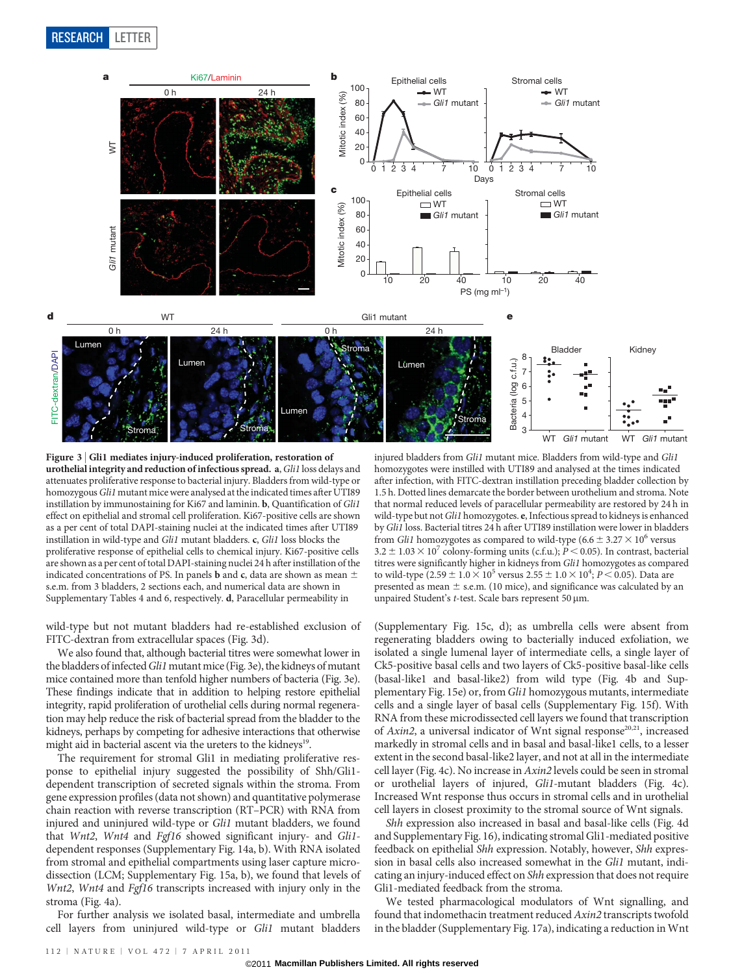

Figure 3 | Gli1 mediates injury-induced proliferation, restoration of urothelial integrity and reduction of infectious spread. a,Gli1 loss delays and attenuates proliferative response to bacterial injury. Bladders from wild-type or homozygous Gli1 mutant mice were analysed at the indicated times after UTI89 instillation by immunostaining for Ki67 and laminin. b, Quantification of Gli1 effect on epithelial and stromal cell proliferation. Ki67-positive cells are shown as a per cent of total DAPI-staining nuclei at the indicated times after UTI89 instillation in wild-type and Gli1 mutant bladders. c, Gli1 loss blocks the proliferative response of epithelial cells to chemical injury. Ki67-positive cells are shown as a per cent of total DAPI-staining nuclei 24 h after instillation of the indicated concentrations of PS. In panels **b** and **c**, data are shown as mean  $\pm$ s.e.m. from 3 bladders, 2 sections each, and numerical data are shown in Supplementary Tables 4 and 6, respectively. d, Paracellular permeability in

wild-type but not mutant bladders had re-established exclusion of FITC-dextran from extracellular spaces (Fig. 3d).

We also found that, although bacterial titres were somewhat lower in the bladders of infected Gli1 mutant mice (Fig. 3e), the kidneys of mutant mice contained more than tenfold higher numbers of bacteria (Fig. 3e). These findings indicate that in addition to helping restore epithelial integrity, rapid proliferation of urothelial cells during normal regeneration may help reduce the risk of bacterial spread from the bladder to the kidneys, perhaps by competing for adhesive interactions that otherwise might aid in bacterial ascent via the ureters to the kidneys<sup>19</sup>.

The requirement for stromal Gli1 in mediating proliferative response to epithelial injury suggested the possibility of Shh/Gli1 dependent transcription of secreted signals within the stroma. From gene expression profiles (data not shown) and quantitative polymerase chain reaction with reverse transcription (RT–PCR) with RNA from injured and uninjured wild-type or Gli1 mutant bladders, we found that Wnt2, Wnt4 and Fgf16 showed significant injury- and Gli1dependent responses (Supplementary Fig. 14a, b). With RNA isolated from stromal and epithelial compartments using laser capture microdissection (LCM; Supplementary Fig. 15a, b), we found that levels of Wnt2, Wnt4 and Fgf16 transcripts increased with injury only in the stroma (Fig. 4a).

For further analysis we isolated basal, intermediate and umbrella cell layers from uninjured wild-type or Gli1 mutant bladders

injured bladders from Gli1 mutant mice. Bladders from wild-type and Gli1 homozygotes were instilled with UTI89 and analysed at the times indicated after infection, with FITC-dextran instillation preceding bladder collection by 1.5 h. Dotted lines demarcate the border between urothelium and stroma. Note that normal reduced levels of paracellular permeability are restored by 24 h in wild-type but not Gli1 homozygotes. e, Infectious spread to kidneys is enhanced by Gli1 loss. Bacterial titres 24 h after UTI89 instillation were lower in bladders from *Gli1* homozygotes as compared to wild-type  $(6.6 \pm 3.27 \times 10^6$  versus  $3.2 \pm 1.03 \times 10^7$  colony-forming units (c.f.u.); P < 0.05). In contrast, bacterial titres were significantly higher in kidneys from Gli1 homozygotes as compared to wild-type  $(2.59 \pm 1.0 \times 10^5$  versus  $2.55 \pm 1.0 \times 10^4$ ;  $P < 0.05$ ). Data are presented as mean  $\pm$  s.e.m. (10 mice), and significance was calculated by an unpaired Student's t-test. Scale bars represent 50 µm.

(Supplementary Fig. 15c, d); as umbrella cells were absent from regenerating bladders owing to bacterially induced exfoliation, we isolated a single lumenal layer of intermediate cells, a single layer of Ck5-positive basal cells and two layers of Ck5-positive basal-like cells (basal-like1 and basal-like2) from wild type (Fig. 4b and Supplementary Fig. 15e) or, from Gli1 homozygous mutants, intermediate cells and a single layer of basal cells (Supplementary Fig. 15f). With RNA from these microdissected cell layers we found that transcription of Axin2, a universal indicator of Wnt signal response<sup>20,21</sup>, increased markedly in stromal cells and in basal and basal-like1 cells, to a lesser extent in the second basal-like2 layer, and not at all in the intermediate cell layer (Fig. 4c). No increase in Axin2 levels could be seen in stromal or urothelial layers of injured, Gli1-mutant bladders (Fig. 4c). Increased Wnt response thus occurs in stromal cells and in urothelial cell layers in closest proximity to the stromal source of Wnt signals.

Shh expression also increased in basal and basal-like cells (Fig. 4d and Supplementary Fig. 16), indicating stromal Gli1-mediated positive feedback on epithelial Shh expression. Notably, however, Shh expression in basal cells also increased somewhat in the Gli1 mutant, indicating an injury-induced effect on Shh expression that does not require Gli1-mediated feedback from the stroma.

We tested pharmacological modulators of Wnt signalling, and found that indomethacin treatment reduced Axin2 transcripts twofold in the bladder (Supplementary Fig. 17a), indicating a reduction in Wnt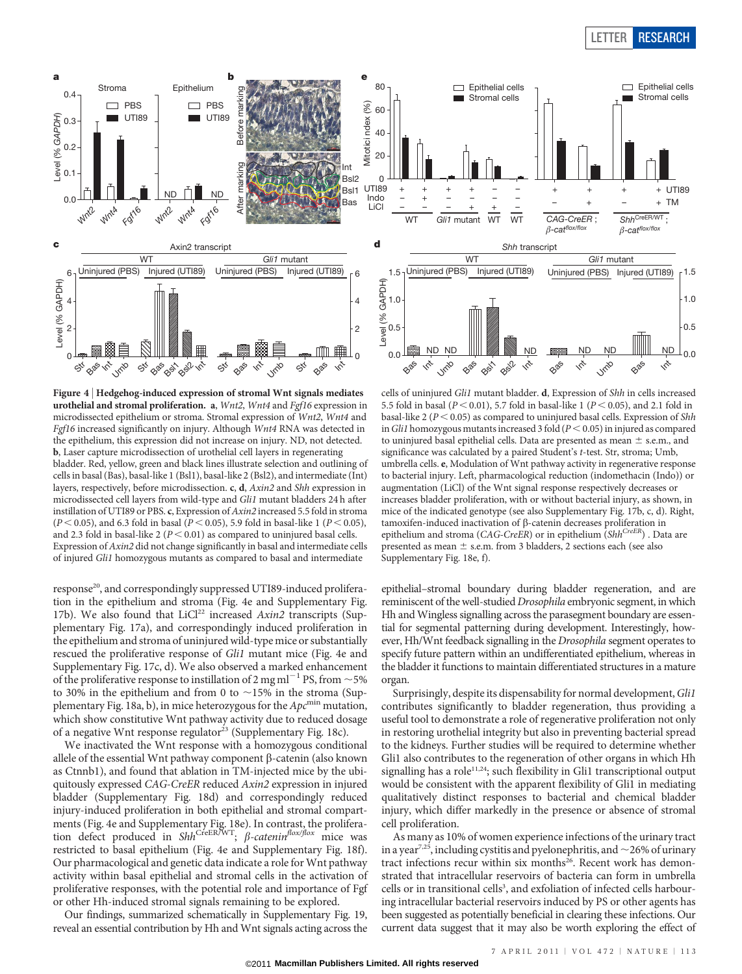# LETTER RESEARCH

Epithelial cells





 $\Box$  Epithelial cells

80

Figure 4 <sup>|</sup> Hedgehog-induced expression of stromal Wnt signals mediates urothelial and stromal proliferation. a, Wnt2, Wnt4 and Fgf16 expression in microdissected epithelium or stroma. Stromal expression of Wnt2, Wnt4 and Fgf16 increased significantly on injury. Although Wnt4 RNA was detected in the epithelium, this expression did not increase on injury. ND, not detected. b, Laser capture microdissection of urothelial cell layers in regenerating bladder. Red, yellow, green and black lines illustrate selection and outlining of cells in basal (Bas), basal-like 1 (Bsl1), basal-like 2 (Bsl2), and intermediate (Int) layers, respectively, before microdissection. c, d, Axin2 and Shh expression in microdissected cell layers from wild-type and Gli1 mutant bladders 24 h after instillation of UTI89 or PBS. c, Expression of Axin2 increased 5.5 fold in stroma  $(P < 0.05)$ , and 6.3 fold in basal  $(P < 0.05)$ , 5.9 fold in basal-like 1  $(P < 0.05)$ , and 2.3 fold in basal-like 2 ( $P < 0.01$ ) as compared to uninjured basal cells. Expression of Axin2 did not change significantly in basal and intermediate cells of injured Gli1 homozygous mutants as compared to basal and intermediate

response<sup>20</sup>, and correspondingly suppressed UTI89-induced proliferation in the epithelium and stroma (Fig. 4e and Supplementary Fig. 17b). We also found that LiCl<sup>22</sup> increased  $Axin2$  transcripts (Supplementary Fig. 17a), and correspondingly induced proliferation in the epithelium and stroma of uninjured wild-type mice or substantially rescued the proliferative response of Gli1 mutant mice (Fig. 4e and Supplementary Fig. 17c, d). We also observed a marked enhancement of the proliferative response to instillation of 2 mg ml<sup>-1</sup> PS, from  $\sim$  5% to 30% in the epithelium and from 0 to  $\sim$ 15% in the stroma (Supplementary Fig. 18a, b), in mice heterozygous for the  $Apc^{\text{min}}$  mutation, which show constitutive Wnt pathway activity due to reduced dosage of a negative Wnt response regulator<sup>23</sup> (Supplementary Fig. 18c).

We inactivated the Wnt response with a homozygous conditional allele of the essential Wnt pathway component  $\beta$ -catenin (also known as Ctnnb1), and found that ablation in TM-injected mice by the ubiquitously expressed CAG-CreER reduced Axin2 expression in injured bladder (Supplementary Fig. 18d) and correspondingly reduced injury-induced proliferation in both epithelial and stromal compartments (Fig. 4e and Supplementary Fig. 18e). In contrast, the proliferation defect produced in ShhCreER/WT;  $\beta$ -catenin<sup>flox/flox</sup> mice was restricted to basal epithelium (Fig. 4e and Supplementary Fig. 18f). Our pharmacological and genetic data indicate a role for Wnt pathway activity within basal epithelial and stromal cells in the activation of proliferative responses, with the potential role and importance of Fgf or other Hh-induced stromal signals remaining to be explored.

Our findings, summarized schematically in Supplementary Fig. 19, reveal an essential contribution by Hh and Wnt signals acting across the

cells of uninjured Gli1 mutant bladder. d, Expression of Shh in cells increased 5.5 fold in basal ( $P < 0.01$ ), 5.7 fold in basal-like 1 ( $P < 0.05$ ), and 2.1 fold in basal-like 2 ( $P < 0.05$ ) as compared to uninjured basal cells. Expression of Shh in Gli1 homozygous mutants increased 3 fold ( $P < 0.05$ ) in injured as compared to uninjured basal epithelial cells. Data are presented as mean  $\pm$  s.e.m., and significance was calculated by a paired Student's t-test. Str, stroma; Umb, umbrella cells. e, Modulation of Wnt pathway activity in regenerative response to bacterial injury. Left, pharmacological reduction (indomethacin (Indo)) or augmentation (LiCl) of the Wnt signal response respectively decreases or increases bladder proliferation, with or without bacterial injury, as shown, in mice of the indicated genotype (see also Supplementary Fig. 17b, c, d). Right, tamoxifen-induced inactivation of b-catenin decreases proliferation in epithelium and stroma (CAG-CreER) or in epithelium  $\overline{(Shh^{CreER})}$  . Data are presented as mean  $\pm$  s.e.m. from 3 bladders, 2 sections each (see also Supplementary Fig. 18e, f).

epithelial–stromal boundary during bladder regeneration, and are reminiscent of the well-studied Drosophila embryonic segment, in which Hh and Wingless signalling across the parasegment boundary are essential for segmental patterning during development. Interestingly, however, Hh/Wnt feedback signalling in the Drosophila segment operates to specify future pattern within an undifferentiated epithelium, whereas in the bladder it functions to maintain differentiated structures in a mature organ.

Surprisingly, despite its dispensability for normal development, Gli1 contributes significantly to bladder regeneration, thus providing a useful tool to demonstrate a role of regenerative proliferation not only in restoring urothelial integrity but also in preventing bacterial spread to the kidneys. Further studies will be required to determine whether Gli1 also contributes to the regeneration of other organs in which Hh signalling has a role<sup>11,24</sup>; such flexibility in Gli1 transcriptional output would be consistent with the apparent flexibility of Gli1 in mediating qualitatively distinct responses to bacterial and chemical bladder injury, which differ markedly in the presence or absence of stromal cell proliferation.

As many as 10% of women experience infections of the urinary tract in a year<sup>7,25</sup>, including cystitis and pyelonephritis, and  $\sim$  26% of urinary tract infections recur within six months<sup>26</sup>. Recent work has demonstrated that intracellular reservoirs of bacteria can form in umbrella cells or in transitional cells<sup>3</sup>, and exfoliation of infected cells harbouring intracellular bacterial reservoirs induced by PS or other agents has been suggested as potentially beneficial in clearing these infections. Our current data suggest that it may also be worth exploring the effect of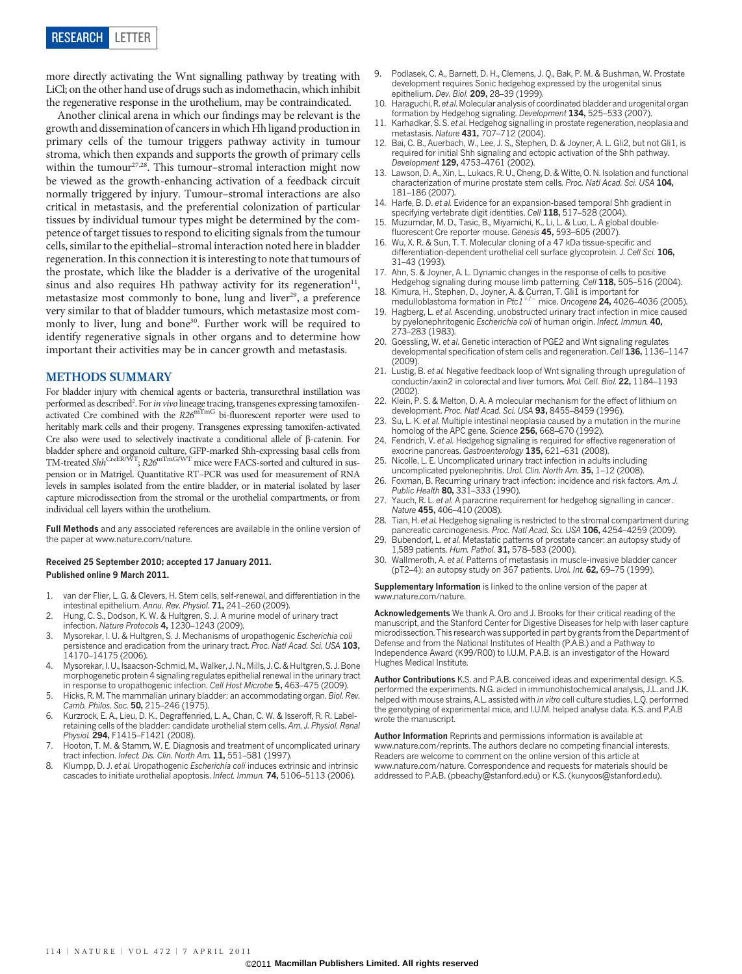more directly activating the Wnt signalling pathway by treating with LiCl; on the other hand use of drugs such as indomethacin, which inhibit the regenerative response in the urothelium, may be contraindicated.

Another clinical arena in which our findings may be relevant is the growth and dissemination of cancers in which Hh ligand production in primary cells of the tumour triggers pathway activity in tumour stroma, which then expands and supports the growth of primary cells within the tumour $27.28$ . This tumour–stromal interaction might now be viewed as the growth-enhancing activation of a feedback circuit normally triggered by injury. Tumour–stromal interactions are also critical in metastasis, and the preferential colonization of particular tissues by individual tumour types might be determined by the competence of target tissues to respond to eliciting signals from the tumour cells, similar to the epithelial–stromal interaction noted here in bladder regeneration. In this connection it is interesting to note that tumours of the prostate, which like the bladder is a derivative of the urogenital sinus and also requires Hh pathway activity for its regeneration<sup>11</sup>, metastasize most commonly to bone, lung and liver<sup>29</sup>, a preference very similar to that of bladder tumours, which metastasize most commonly to liver, lung and bone<sup>30</sup>. Further work will be required to identify regenerative signals in other organs and to determine how important their activities may be in cancer growth and metastasis.

## METHODS SUMMARY

For bladder injury with chemical agents or bacteria, transurethral instillation was performed as described<sup>2</sup>. For *in vivo* lineage tracing, transgenes expressing tamoxifen-<br>activated Cre combined with the  $R26^{\text{mTmG}}$  bi-fluorescent reporter were used to heritably mark cells and their progeny. Transgenes expressing tamoxifen-activated Cre also were used to selectively inactivate a conditional allele of b-catenin. For bladder sphere and organoid culture, GFP-marked Shh-expressing basal cells from<br>TM-treated S*hh<sup>CreER/WT</sup>; R26*<sup>mTmG/WT</sup> mice were FACS-sorted and cultured in suspension or in Matrigel. Quantitative RT–PCR was used for measurement of RNA levels in samples isolated from the entire bladder, or in material isolated by laser capture microdissection from the stromal or the urothelial compartments, or from individual cell layers within the urothelium.

Full Methods and any associated references are available in the online version of the paper at [www.nature.com/nature.](www.nature.com/nature)

### Received 25 September 2010; accepted 17 January 2011. Published online 9 March 2011.

- 1. van der Flier, L. G. & Clevers, H. Stem cells, self-renewal, and differentiation in the intestinal epithelium. Annu. Rev. Physiol. 71, 241-260 (2009)
- Hung, C. S., Dodson, K. W. & Hultgren, S. J. A murine model of urinary tract infection. Nature Protocols 4, 1230-1243 (2009).
- Mysorekar, I. U. & Hultgren, S. J. Mechanisms of uropathogenic Escherichia coli persistence and eradication from the urinary tract. Proc. Natl Acad. Sci. USA 103, 14170–14175 (2006).
- 4. Mysorekar, I. U., Isaacson-Schmid, M., Walker, J. N., Mills, J. C. & Hultgren, S. J. Bone morphogenetic protein 4 signaling regulates epithelial renewal in the urinary tract in response to uropathogenic infection. Cell Host Microbe 5, 463–475 (2009).
- 5. Hicks, R. M. The mammalian urinary bladder: an accommodating organ. Biol. Rev. Camb. Philos. Soc. 50, 215-246 (1975).
- 6. Kurzrock, E. A., Lieu, D. K., Degraffenried, L. A., Chan, C. W. & Isseroff, R. R. Labelretaining cells of the bladder: candidate urothelial stem cells. Am. J. Physiol. Renal Physiol. 294, F1415-F1421 (2008).
- Hooton, T. M. & Stamm, W. E. Diagnosis and treatment of uncomplicated urinary tract infection. Infect. Dis. Clin. North Am. 11, 551-581 (1997).
- 8. Klumpp, D. J. et al. Uropathogenic Escherichia coli induces extrinsic and intrinsic cascades to initiate urothelial apoptosis. Infect. Immun. 74, 5106–5113 (2006).
- 9. Podlasek, C. A., Barnett, D. H., Clemens, J. Q., Bak, P. M. & Bushman, W. Prostate development requires Sonic hedgehog expressed by the urogenital sinus epithelium. Dev. Biol. 209, 28-39 (1999).
- 10. Haraguchi, R. et al.Molecular analysis of coordinated bladder and urogenital organ formation by Hedgehog signaling. Development 134, 525–533 (2007).
- 11. Karhadkar, S. S. et al. Hedgehog signalling in prostate regeneration, neoplasia and metastasis. Nature 431, 707–712 (2004).
- 12. Bai, C. B., Auerbach, W., Lee, J. S., Stephen, D. & Joyner, A. L. Gli2, but not Gli1, is required for initial Shh signaling and ectopic activation of the Shh pathway. Development 129, 4753–4761 (2002).
- 13. Lawson, D. A., Xin, L., Lukacs, R. U., Cheng, D. & Witte, O. N. Isolation and functional characterization of murine prostate stem cells. Proc. Natl Acad. Sci. USA 104. 181–186 (2007).
- 14. Harfe, B. D. et al. Evidence for an expansion-based temporal Shh gradient in specifying vertebrate digit identities. Cell 118, 517-528 (2004)
- 15. Muzumdar, M. D., Tasic, B., Miyamichi, K., Li, L. & Luo, L. A global doublefluorescent Cre reporter mouse. Genesis 45, 593–605 (2007).
- 16. Wu, X. R. & Sun, T. T. Molecular cloning of a 47 kDa tissue-specific and differentiation-dependent urothelial cell surface glycoprotein. J. Cell Sci. 106, 31–43 (1993).
- 17. Ahn, S. & Joyner, A. L. Dynamic changes in the response of cells to positive Hedgehog signaling during mouse limb patterning. Cell 118, 505-516 (2004).
- Kimura, H., Stephen, D., Joyner, A. & Curran, T. Gli1 is important for medulloblastoma formation in Ptc1<sup>+/-</sup> mice. Oncogene **24,** 4026–4036 (2005).
- 19. Hagberg, L. et al. Ascending, unobstructed urinary tract infection in mice caused by pyelonephritogenic Escherichia coli of human origin. Infect. Immun. 40, 273–283 (1983).
- 20. Goessling, W. et al. Genetic interaction of PGE2 and Wnt signaling regulates developmental specification of stem cells and regeneration. Cell 136, 1136–1147 (2009).
- 21. Lustig, B. et al. Negative feedback loop of Wnt signaling through upregulation of conductin/axin2 in colorectal and liver tumors. Mol. Cell. Biol. 22, 1184–1193  $(2002)$
- 22. Klein, P. S. & Melton, D. A. A molecular mechanism for the effect of lithium on development. Proc. Natl Acad. Sci. USA 93, 8455-8459 (1996).
- 23. Su, L. K. et al. Multiple intestinal neoplasia caused by a mutation in the murine homolog of the APC gene. Science 256, 668-670 (1992).
- 24. Fendrich, V. et al. Hedgehog signaling is required for effective regeneration of exocrine pancreas. Gastroenterology 135, 621–631 (2008).
- 25. Nicolle, L. E. Uncomplicated urinary tract infection in adults including uncomplicated pyelonephritis. Urol. Clin. North Am. 35, 1-12 (2008).
- 26. Foxman, B. Recurring urinary tract infection: incidence and risk factors. Am. J. Public Health 80, 331-333 (1990).
- 27. Yauch, R. L. et al. A paracrine requirement for hedgehog signalling in cancer. Nature 455, 406–410 (2008).
- 28. Tian, H. et al. Hedgehog signaling is restricted to the stromal compartment during pancreatic carcinogenesis. Proc. Natl Acad. Sci. USA 106, 4254-4259 (2009).
- 29. Bubendorf, L. et al. Metastatic patterns of prostate cancer: an autopsy study of 1,589 patients. Hum. Pathol. 31, 578–583 (2000).
- 30. Wallmeroth, A. et al. Patterns of metastasis in muscle-invasive bladder cancer (pT2–4): an autopsy study on 367 patients. Urol. Int. 62, 69–75 (1999).

Supplementary Information is linked to the online version of the paper at <www.nature.com/nature>.

Acknowledgements We thank A. Oro and J. Brooks for their critical reading of the manuscript, and the Stanford Center for Digestive Diseases for help with laser capture microdissection. This research was supported in part by grants from the Department of Defense and from the National Institutes of Health (P.A.B.) and a Pathway to Independence Award (K99/R00) to I.U.M. P.A.B. is an investigator of the Howard Hughes Medical Institute.

Author Contributions K.S. and P.A.B. conceived ideas and experimental design. K.S. performed the experiments. N.G. aided in immunohistochemical analysis, J.L. and J.K. helped with mouse strains, A.L. assisted with in vitro cell culture studies, L.Q. performed the genotyping of experimental mice, and I.U.M. helped analyse data. K.S. and P.A.B wrote the manuscript.

Author Information Reprints and permissions information is available at <www.nature.com/reprints>. The authors declare no competing financial interests. Readers are welcome to comment on the online version of this article at <www.nature.com/nature>. Correspondence and requests for materials should be addressed to P.A.B. [\(pbeachy@stanford.edu\)](mailto:pbeachy@stanford.edu) or K.S. [\(kunyoos@stanford.edu\).](mailto:kunyoos@stanford.edu)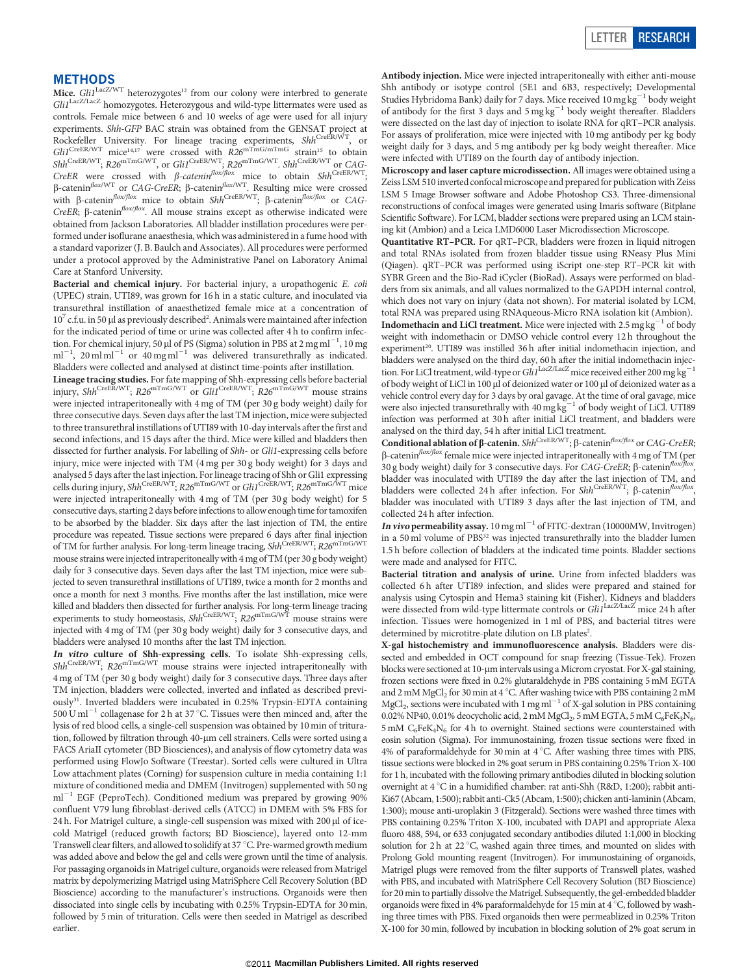### **METHODS**

Mice.  $GliI<sup>LacZ/WT</sup>$  heterozygotes<sup>12</sup> from our colony were interbred to generate Gli1<sup>LacZ/LacZ</sup> homozygotes. Heterozygous and wild-type littermates were used as controls. Female mice between 6 and 10 weeks of age were used for all injury experiments. Shh-GFP BAC strain was obtained from the GENSAT project at Rockefeller University. For lineage tracing experiments, Shh<sup>CreER/WT</sup>, or  $Gli1^{\text{CreER/WT}}$  mice<sup>14,17</sup> were crossed with  $R26^{\text{mTmG/mTmG}}$  strain<sup>15</sup> to obtain  $Shh^{\text{CreER/WT}}$ ;  $R26^{\text{mTmG/WT}}$ , or  $Gli1^{\text{CreER/WT}}$ ;  $R26^{\text{mTmG/WT}}$ .  $Shh^{\text{CreER/WT}}$  or  $CAG$ -CreER were crossed with  $\beta$ -catenin<sup>flox/flox</sup> mice to obtain Shh<sup>CreER/WT</sup>;  $\beta$ -catenin<sup>flox/WT</sup> or CAG-CreER;  $\beta$ -catenin<sup>flox/WT</sup>. Resulting mice were crossed with  $\beta$ -catenin<sup>flox/flox</sup> mice to obtain Shh<sup>CreER/WT</sup>;  $\beta$ -catenin<sup>flox/flox</sup> or CAG-CreER;  $\beta$ -catenin<sup>flox/flox</sup>. All mouse strains except as otherwise indicated were obtained from Jackson Laboratories. All bladder instillation procedures were performed under isoflurane anaesthesia, which was administered in a fume hood with a standard vaporizer (J. B. Baulch and Associates). All procedures were performed under a protocol approved by the Administrative Panel on Laboratory Animal Care at Stanford University.

Bacterial and chemical injury. For bacterial injury, a uropathogenic E. coli (UPEC) strain, UTI89, was grown for 16 h in a static culture, and inoculated via transurethral instillation of anaesthetized female mice at a concentration of  $10<sup>7</sup>$  c.f.u. in 50 µl as previously described<sup>2</sup>. Animals were maintained after infection for the indicated period of time or urine was collected after 4 h to confirm infection. For chemical injury, 50  $\mu$ l of PS (Sigma) solution in PBS at 2 mg ml $^{-1}$ , 10 mg  $ml^{-1}$ , 20 ml ml<sup>-1</sup> or 40 mg ml<sup>-1</sup> was delivered transurethrally as indicated. Bladders were collected and analysed at distinct time-points after instillation.

Lineage tracing studies. For fate mapping of Shh-expressing cells before bacterial injury, Shh<sup>CreER/WT</sup>;  $R26^{\text{mTmG/WT}}$  or  $Gli1^{\text{CreeER/WT}}$ ;  $R26^{\text{mTmG/WT}}$  mouse strains were injected intraperitoneally with 4 mg of TM (per 30 g body weight) daily for three consecutive days. Seven days after the last TM injection, mice were subjected to three transurethral instillations of UTI89 with 10-day intervals after the first and second infections, and 15 days after the third. Mice were killed and bladders then dissected for further analysis. For labelling of Shh- or Gli1-expressing cells before injury, mice were injected with TM (4 mg per 30 g body weight) for 3 days and analysed 5 days after the last injection. For lineage tracing of Shh or Gli1 expressing<br>cells during injury, Shh<sup>CreER/WT</sup>; R26<sup>mTmG/WT</sup> or Gli1<sup>CreER/WT</sup>; R26<sup>mTmG/WT</sup> mice were injected intraperitoneally with 4 mg of TM (per 30 g body weight) for 5 consecutive days, starting 2 days before infections to allow enough time for tamoxifen to be absorbed by the bladder. Six days after the last injection of TM, the entire procedure was repeated. Tissue sections were prepared 6 days after final injection of TM for further analysis. For long-term lineage tracing,  $\mathit{Shh}^{\textrm{CreER/WT}}, \mathit{R26}^{\textrm{mT} \textrm{fmG/WT}}$ mouse strains were injected intraperitoneally with 4 mg of TM (per 30 g body weight) daily for 3 consecutive days. Seven days after the last TM injection, mice were subjected to seven transurethral instillations of UTI89, twice a month for 2 months and once a month for next 3 months. Five months after the last instillation, mice were killed and bladders then dissected for further analysis. For long-term lineage tracing<br>experiments to study homeostasis, Shh<sup>CreER/WT</sup>; R26<sup>mTmG/WT</sup> mouse strains were injected with 4 mg of TM (per 30 g body weight) daily for 3 consecutive days, and bladders were analysed 10 months after the last TM injection.

**In vitro culture of Shh-expressing cells.** To isolate Shh-expressing cells,  $Shh^{\text{CreER/WT}}$ ;  $R26^{\text{mTmG/WT}}$  mouse strains were injected intraperitoneally with 4 mg of TM (per 30 g body weight) daily for 3 consecutive days. Three days after TM injection, bladders were collected, inverted and inflated as described previously<sup>31</sup>. Inverted bladders were incubated in 0.25% Trypsin-EDTA containing  $500 \text{ U ml}^{-1}$  collagenase for 2 h at 37 °C. Tissues were then minced and, after the lysis of red blood cells, a single-cell suspension was obtained by 10 min of trituration, followed by filtration through 40-µm cell strainers. Cells were sorted using a FACS AriaII cytometer (BD Biosciences), and analysis of flow cytometry data was performed using FlowJo Software (Treestar). Sorted cells were cultured in Ultra Low attachment plates (Corning) for suspension culture in media containing 1:1 mixture of conditioned media and DMEM (Invitrogen) supplemented with 50 ng  $\mathrm{ml}^{-1}$  EGF (PeproTech). Conditioned medium was prepared by growing 90% confluent V79 lung fibroblast-derived cells (ATCC) in DMEM with 5% FBS for  $24$  h. For Matrigel culture, a single-cell suspension was mixed with  $200 \mu$ l of icecold Matrigel (reduced growth factors; BD Bioscience), layered onto 12-mm Transwell clear filters, and allowed to solidify at 37  $^{\circ}$ C. Pre-warmed growth medium was added above and below the gel and cells were grown until the time of analysis. For passaging organoids in Matrigel culture, organoids were released from Matrigel matrix by depolymerizing Matrigel using MatriSphere Cell Recovery Solution (BD Bioscience) according to the manufacturer's instructions. Organoids were then dissociated into single cells by incubating with 0.25% Trypsin-EDTA for 30 min, followed by 5 min of trituration. Cells were then seeded in Matrigel as described earlier.

Antibody injection. Mice were injected intraperitoneally with either anti-mouse Shh antibody or isotype control (5E1 and 6B3, respectively; Developmental Studies Hybridoma Bank) daily for 7 days. Mice received 10 mg  $kg^{-1}$  body weight of antibody for the first 3 days and  $5 \text{ mg kg}^{-1}$  body weight thereafter. Bladders were dissected on the last day of injection to isolate RNA for qRT–PCR analysis. For assays of proliferation, mice were injected with 10 mg antibody per kg body weight daily for 3 days, and 5 mg antibody per kg body weight thereafter. Mice were infected with UTI89 on the fourth day of antibody injection.

Microscopy and laser capture microdissection. All images were obtained using a Zeiss LSM 510 inverted confocal microscope and prepared for publication with Zeiss LSM 5 Image Browser software and Adobe Photoshop CS3. Three-dimensional reconstructions of confocal images were generated using Imaris software (Bitplane Scientific Software). For LCM, bladder sections were prepared using an LCM staining kit (Ambion) and a Leica LMD6000 Laser Microdissection Microscope.

Quantitative RT–PCR. For qRT–PCR, bladders were frozen in liquid nitrogen and total RNAs isolated from frozen bladder tissue using RNeasy Plus Mini (Qiagen). qRT–PCR was performed using iScript one-step RT–PCR kit with SYBR Green and the Bio-Rad iCycler (BioRad). Assays were performed on bladders from six animals, and all values normalized to the GAPDH internal control, which does not vary on injury (data not shown). For material isolated by LCM, total RNA was prepared using RNAqueous-Micro RNA isolation kit (Ambion). **Indomethacin and LiCl treatment.** Mice were injected with  $2.5 \text{ mg kg}^{-1}$  of body weight with indomethacin or DMSO vehicle control every 12 h throughout the experiment<sup>20</sup>. UTI89 was instilled 36 h after initial indomethacin injection, and bladders were analysed on the third day, 60 h after the initial indomethacin injection. For LiCl treatment, wild-type or  $GliI<sup>LacZ/LacZ</sup>$  mice received either 200 mg kg<sup>-1</sup> of body weight of LiCl in 100 µl of deionized water or 100 µl of deionized water as a vehicle control every day for 3 days by oral gavage. At the time of oral gavage, mice were also injected transurethrally with  $40 \text{ mg kg}^{-1}$  of body weight of LiCl. UTI89 infection was performed at 30 h after initial LiCl treatment, and bladders were analysed on the third day, 54 h after initial LiCl treatment.

Conditional ablation of  $\beta$ -catenin. Shh<sup>CreER/WT</sup>;  $\beta$ -catenin<sup>flox/flox</sup> or CAG-CreER;  $\beta$ -catenin<sup>flox/flox</sup> female mice were injected intraperitoneally with 4 mg of TM (per 30 g body weight) daily for 3 consecutive days. For CAG-CreER;  $\beta$ -catenin<sup>flox/j</sup> bladder was inoculated with UTI89 the day after the last injection of TM, and bladders were collected 24 h after infection. For  $Shh^{\text{CreER/WT}}$ ;  $\beta$ -catenin<sup>flox/flox</sup>, bladder was inoculated with UTI89 3 days after the last injection of TM, and collected 24 h after infection.

In vivo permeability assay.  $10 \text{ mg m}^{-1}$  of FITC-dextran (10000MW, Invitrogen) in a 50 ml volume of PBS<sup>32</sup> was injected transurethrally into the bladder lumen 1.5 h before collection of bladders at the indicated time points. Bladder sections were made and analysed for FITC.

Bacterial titration and analysis of urine. Urine from infected bladders was collected 6 h after UTI89 infection, and slides were prepared and stained for analysis using Cytospin and Hema3 staining kit (Fisher). Kidneys and bladders were dissected from wild-type littermate controls or Gli1<sup>LacZ/LacZ</sup> mice 24 h after infection. Tissues were homogenized in 1 ml of PBS, and bacterial titres were determined by microtitre-plate dilution on LB plates<sup>2</sup>.

X-gal histochemistry and immunofluorescence analysis. Bladders were dissected and embedded in OCT compound for snap freezing (Tissue-Tek). Frozen blocks were sectioned at 10-µm intervals using a Microm cryostat. For X-gal staining, frozen sections were fixed in 0.2% glutaraldehyde in PBS containing 5 mM EGTA and 2 mM MgCl<sub>2</sub> for 30 min at 4 °C. After washing twice with PBS containing 2 mM MgCl<sub>2</sub>, sections were incubated with 1 mg ml<sup> $-1$ </sup> of X-gal solution in PBS containing 0.02% NP40, 0.01% deocycholic acid, 2 mM MgCl<sub>2</sub>, 5 mM EGTA, 5 mM C<sub>6</sub>FeK<sub>3</sub>N<sub>6</sub>, 5 mM C<sub>6</sub>FeK<sub>4</sub>N<sub>6</sub> for 4 h to overnight. Stained sections were counterstained with eosin solution (Sigma). For immunostaining, frozen tissue sections were fixed in 4% of paraformaldehyde for 30 min at  $4^{\circ}$ C. After washing three times with PBS, tissue sections were blocked in 2% goat serum in PBS containing 0.25% Trion X-100 for 1 h, incubated with the following primary antibodies diluted in blocking solution overnight at 4 °C in a humidified chamber: rat anti-Shh (R&D, 1:200); rabbit anti-Ki67 (Abcam, 1:500); rabbit anti-Ck5 (Abcam, 1:500); chicken anti-laminin (Abcam, 1:300); mouse anti-uroplakin 3 (Fitzgerald). Sections were washed three times with PBS containing 0.25% Triton X-100, incubated with DAPI and appropriate Alexa fluoro 488, 594, or 633 conjugated secondary antibodies diluted 1:1,000 in blocking solution for 2 h at 22 $\degree$ C, washed again three times, and mounted on slides with Prolong Gold mounting reagent (Invitrogen). For immunostaining of organoids, Matrigel plugs were removed from the filter supports of Transwell plates, washed with PBS, and incubated with MatriSphere Cell Recovery Solution (BD Bioscience) for 20 min to partially dissolve the Matrigel. Subsequently, the gel-embedded bladder organoids were fixed in 4% paraformaldehyde for 15 min at 4  $\mathrm{^{\circ}C},$  followed by washing three times with PBS. Fixed organoids then were permeablized in 0.25% Triton X-100 for 30 min, followed by incubation in blocking solution of 2% goat serum in